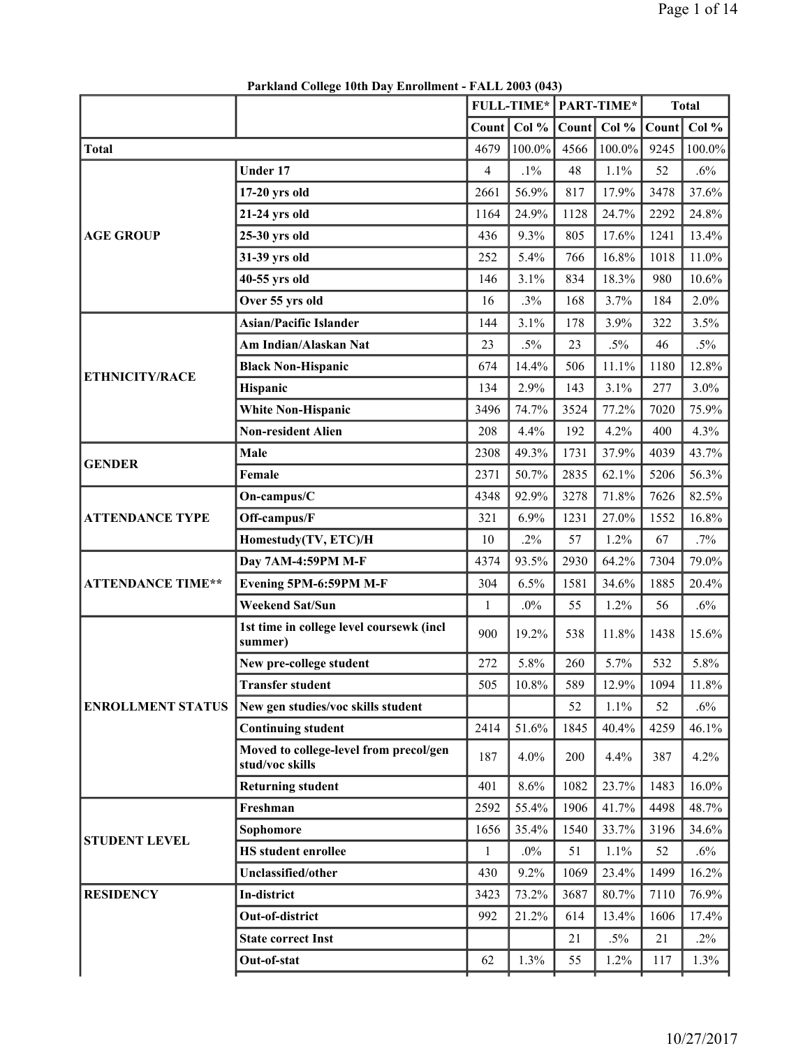|                          |                                                           |                | <b>FULL-TIME*</b> |       | <b>PART-TIME*</b> |       | <b>Total</b> |
|--------------------------|-----------------------------------------------------------|----------------|-------------------|-------|-------------------|-------|--------------|
|                          |                                                           | <b>Count</b>   | Col %             | Count | Col $%$           | Count | Col %        |
| <b>Total</b>             |                                                           | 4679           | 100.0%            | 4566  | $100.0\%$         | 9245  | 100.0%       |
|                          | <b>Under 17</b>                                           | $\overline{4}$ | $.1\%$            | 48    | 1.1%              | 52    | .6%          |
|                          | $17-20$ yrs old                                           | 2661           | 56.9%             | 817   | 17.9%             | 3478  | 37.6%        |
|                          | 21-24 yrs old                                             | 1164           | 24.9%             | 1128  | 24.7%             | 2292  | 24.8%        |
| <b>AGE GROUP</b>         | 25-30 yrs old                                             | 436            | 9.3%              | 805   | 17.6%             | 1241  | 13.4%        |
|                          | 31-39 yrs old                                             | 252            | 5.4%              | 766   | 16.8%             | 1018  | 11.0%        |
|                          | 40-55 yrs old                                             | 146            | 3.1%              | 834   | 18.3%             | 980   | $10.6\%$     |
|                          | Over 55 yrs old                                           | 16             | .3%               | 168   | 3.7%              | 184   | $2.0\%$      |
|                          | <b>Asian/Pacific Islander</b>                             | 144            | 3.1%              | 178   | 3.9%              | 322   | 3.5%         |
|                          | Am Indian/Alaskan Nat                                     | 23             | $.5\%$            | 23    | $.5\%$            | 46    | $.5\%$       |
| <b>ETHNICITY/RACE</b>    | <b>Black Non-Hispanic</b>                                 | 674            | 14.4%             | 506   | 11.1%             | 1180  | 12.8%        |
|                          | <b>Hispanic</b>                                           | 134            | 2.9%              | 143   | 3.1%              | 277   | $3.0\%$      |
|                          | <b>White Non-Hispanic</b>                                 | 3496           | 74.7%             | 3524  | 77.2%             | 7020  | 75.9%        |
|                          | <b>Non-resident Alien</b>                                 | 208            | 4.4%              | 192   | 4.2%              | 400   | 4.3%         |
| <b>GENDER</b>            | Male                                                      | 2308           | 49.3%             | 1731  | 37.9%             | 4039  | 43.7%        |
|                          | Female                                                    | 2371           | 50.7%             | 2835  | 62.1%             | 5206  | 56.3%        |
|                          | On-campus/C                                               | 4348           | 92.9%             | 3278  | 71.8%             | 7626  | 82.5%        |
| <b>ATTENDANCE TYPE</b>   | Off-campus/F                                              | 321            | 6.9%              | 1231  | 27.0%             | 1552  | 16.8%        |
|                          | Homestudy(TV, ETC)/H                                      | 10             | $.2\%$            | 57    | 1.2%              | 67    | $.7\%$       |
|                          | Day 7AM-4:59PM M-F                                        | 4374           | 93.5%             | 2930  | 64.2%             | 7304  | 79.0%        |
| <b>ATTENDANCE TIME**</b> | Evening 5PM-6:59PM M-F                                    | 304            | 6.5%              | 1581  | 34.6%             | 1885  | 20.4%        |
|                          | <b>Weekend Sat/Sun</b>                                    | $\mathbf{1}$   | $.0\%$            | 55    | 1.2%              | 56    | $.6\%$       |
|                          | 1st time in college level coursewk (incl<br>summer)       | 900            | 19.2%             | 538   | 11.8%             | 1438  | 15.6%        |
|                          | New pre-college student                                   | 272            | 5.8%              | 260   | 5.7%              | 532   | 5.8%         |
|                          | <b>Transfer student</b>                                   | 505            | $10.8\%$          | 589   | 12.9%             | 1094  | 11.8%        |
| <b>ENROLLMENT STATUS</b> | New gen studies/voc skills student                        |                |                   | 52    | 1.1%              | 52    | $.6\%$       |
|                          | <b>Continuing student</b>                                 | 2414           | 51.6%             | 1845  | 40.4%             | 4259  | 46.1%        |
|                          | Moved to college-level from precol/gen<br>stud/voc skills | 187            | 4.0%              | 200   | 4.4%              | 387   | 4.2%         |
|                          | <b>Returning student</b>                                  | 401            | 8.6%              | 1082  | 23.7%             | 1483  | $16.0\%$     |
|                          | Freshman                                                  | 2592           | 55.4%             | 1906  | 41.7%             | 4498  | 48.7%        |
| <b>STUDENT LEVEL</b>     | Sophomore                                                 | 1656           | 35.4%             | 1540  | 33.7%             | 3196  | 34.6%        |
|                          | <b>HS</b> student enrollee                                | $\mathbf{1}$   | $.0\%$            | 51    | 1.1%              | 52    | $.6\%$       |
|                          | Unclassified/other                                        | 430            | 9.2%              | 1069  | 23.4%             | 1499  | $16.2\%$     |
| <b>RESIDENCY</b>         | In-district                                               | 3423           | 73.2%             | 3687  | 80.7%             | 7110  | 76.9%        |
|                          | Out-of-district                                           | 992            | 21.2%             | 614   | 13.4%             | 1606  | 17.4%        |
|                          | <b>State correct Inst</b>                                 |                |                   | 21    | $.5\%$            | 21    | $.2\%$       |
|                          | Out-of-stat                                               | 62             | 1.3%              | 55    | 1.2%              | 117   | 1.3%         |

**Parkland College 10th Day Enrollment - FALL 2003 (043)**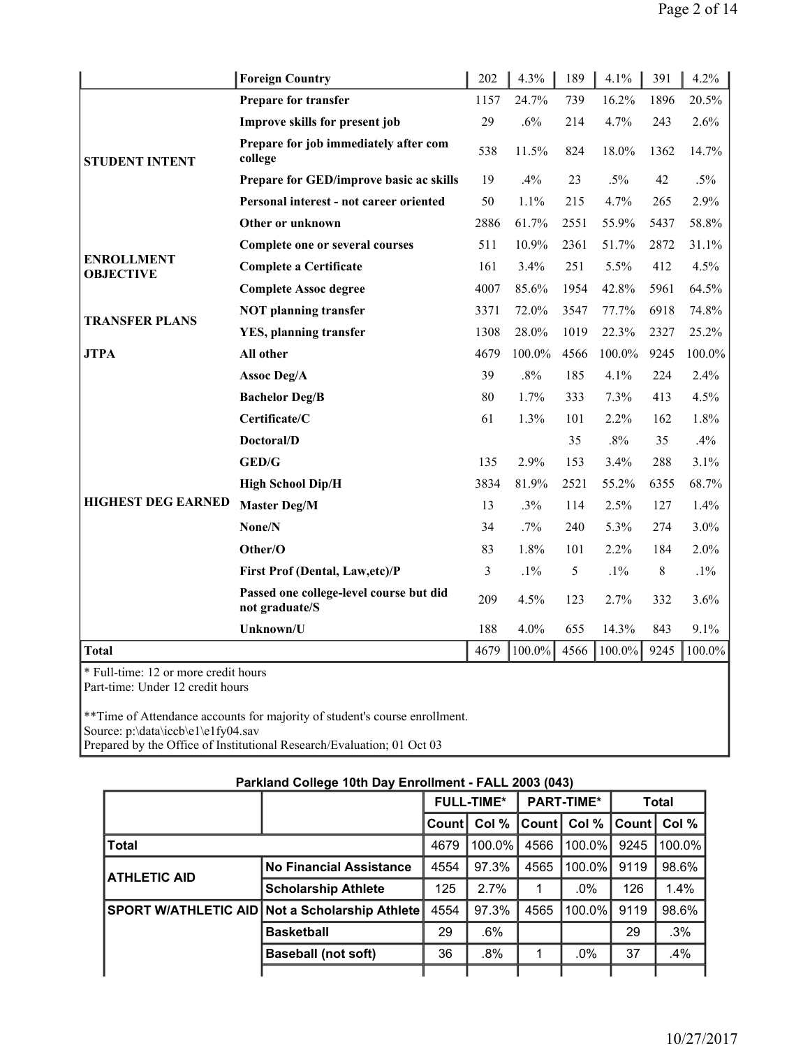|                                                                          | <b>Foreign Country</b>                                    | 202  | 4.3%   | 189  | 4.1%   | 391  | 4.2%   |
|--------------------------------------------------------------------------|-----------------------------------------------------------|------|--------|------|--------|------|--------|
|                                                                          | Prepare for transfer                                      | 1157 | 24.7%  | 739  | 16.2%  | 1896 | 20.5%  |
|                                                                          | Improve skills for present job                            | 29   | .6%    | 214  | 4.7%   | 243  | 2.6%   |
| <b>STUDENT INTENT</b>                                                    | Prepare for job immediately after com<br>college          | 538  | 11.5%  | 824  | 18.0%  | 1362 | 14.7%  |
|                                                                          | Prepare for GED/improve basic ac skills                   | 19   | .4%    | 23   | $.5\%$ | 42   | $.5\%$ |
|                                                                          | Personal interest - not career oriented                   | 50   | 1.1%   | 215  | 4.7%   | 265  | 2.9%   |
|                                                                          | Other or unknown                                          | 2886 | 61.7%  | 2551 | 55.9%  | 5437 | 58.8%  |
|                                                                          | Complete one or several courses                           | 511  | 10.9%  | 2361 | 51.7%  | 2872 | 31.1%  |
| <b>ENROLLMENT</b><br><b>OBJECTIVE</b>                                    | <b>Complete a Certificate</b>                             | 161  | 3.4%   | 251  | 5.5%   | 412  | 4.5%   |
|                                                                          | <b>Complete Assoc degree</b>                              | 4007 | 85.6%  | 1954 | 42.8%  | 5961 | 64.5%  |
| <b>TRANSFER PLANS</b>                                                    | <b>NOT</b> planning transfer                              | 3371 | 72.0%  | 3547 | 77.7%  | 6918 | 74.8%  |
|                                                                          | <b>YES, planning transfer</b>                             | 1308 | 28.0%  | 1019 | 22.3%  | 2327 | 25.2%  |
| <b>JTPA</b>                                                              | All other                                                 | 4679 | 100.0% | 4566 | 100.0% | 9245 | 100.0% |
|                                                                          | Assoc Deg/A                                               | 39   | $.8\%$ | 185  | 4.1%   | 224  | 2.4%   |
|                                                                          | <b>Bachelor Deg/B</b>                                     | 80   | 1.7%   | 333  | 7.3%   | 413  | 4.5%   |
|                                                                          | Certificate/C                                             | 61   | 1.3%   | 101  | 2.2%   | 162  | 1.8%   |
|                                                                          | Doctoral/D                                                |      |        | 35   | $.8\%$ | 35   | .4%    |
|                                                                          | <b>GED/G</b>                                              | 135  | 2.9%   | 153  | 3.4%   | 288  | 3.1%   |
|                                                                          | <b>High School Dip/H</b>                                  | 3834 | 81.9%  | 2521 | 55.2%  | 6355 | 68.7%  |
| <b>HIGHEST DEG EARNED</b>                                                | <b>Master Deg/M</b>                                       | 13   | .3%    | 114  | 2.5%   | 127  | 1.4%   |
|                                                                          | None/N                                                    | 34   | $.7\%$ | 240  | 5.3%   | 274  | 3.0%   |
|                                                                          | Other/O                                                   | 83   | 1.8%   | 101  | 2.2%   | 184  | 2.0%   |
|                                                                          | First Prof (Dental, Law, etc)/P                           | 3    | $.1\%$ | 5    | $.1\%$ | 8    | $.1\%$ |
|                                                                          | Passed one college-level course but did<br>not graduate/S | 209  | 4.5%   | 123  | 2.7%   | 332  | 3.6%   |
|                                                                          | Unknown/U                                                 | 188  | 4.0%   | 655  | 14.3%  | 843  | 9.1%   |
| <b>Total</b>                                                             |                                                           | 4679 | 100.0% | 4566 | 100.0% | 9245 | 100.0% |
| * Full-time: 12 or more credit hours<br>Part-time: Under 12 credit hours |                                                           |      |        |      |        |      |        |

\*\*Time of Attendance accounts for majority of student's course enrollment. Source: p:\data\iccb\e1\e1fy04.sav Prepared by the Office of Institutional Research/Evaluation; 01 Oct 03

|  | Parkland College 10th Day Enrollment - FALL 2003 (043) |
|--|--------------------------------------------------------|
|--|--------------------------------------------------------|

|                     |                                                       |        | <b>FULL-TIME*</b> |                | <b>PART-TIME*</b> |       | <b>Total</b> |
|---------------------|-------------------------------------------------------|--------|-------------------|----------------|-------------------|-------|--------------|
|                     |                                                       | ∍Count | Col %             | <b>Count</b> I | Col %             | Count | Col %        |
| <b>Total</b>        |                                                       | 4679   | $100.0\%$         | 4566           | 100.0%            | 9245  | 100.0%       |
| <b>ATHLETIC AID</b> | <b>No Financial Assistance</b>                        | 4554   | 97.3%             | 4565           | $100.0\%$         | 9119  | 98.6%        |
|                     | <b>Scholarship Athlete</b>                            | 125    | 2.7%              |                | .0%               | 126   | 1.4%         |
|                     | <b>SPORT W/ATHLETIC AID Not a Scholarship Athlete</b> | 4554   | 97.3%             | 4565           | $100.0\%$         | 9119  | 98.6%        |
|                     | <b>Basketball</b>                                     | 29     | .6%               |                |                   | 29    | .3%          |
|                     | <b>Baseball (not soft)</b>                            | 36     | .8%               |                | $.0\%$            | 37    | .4%          |
|                     |                                                       |        |                   |                |                   |       |              |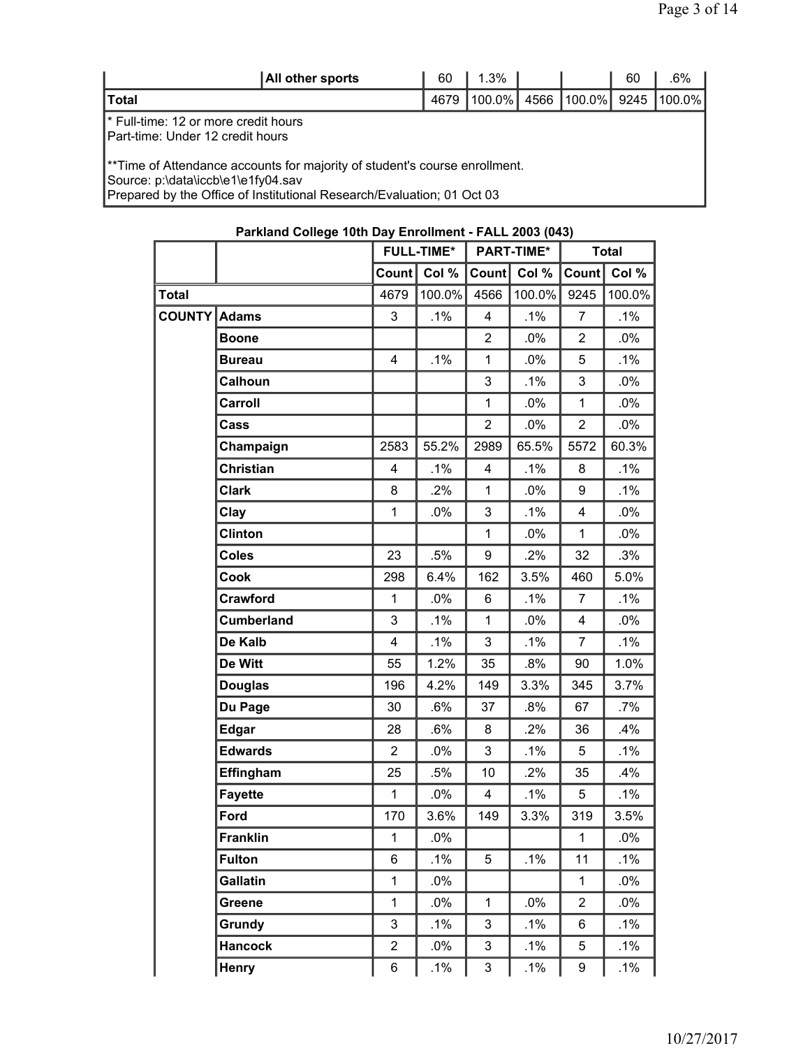| All other sports                                                                                                                                                                           | 60   | $1.3\%$   |      |             | 60   | .6%    |  |  |  |  |
|--------------------------------------------------------------------------------------------------------------------------------------------------------------------------------------------|------|-----------|------|-------------|------|--------|--|--|--|--|
| ∣Total                                                                                                                                                                                     | 4679 | $100.0\%$ | 4566 | $ 100.0\% $ | 9245 | 100.0% |  |  |  |  |
| I* Full-time: 12 or more credit hours<br>IPart-time: Under 12 credit hours                                                                                                                 |      |           |      |             |      |        |  |  |  |  |
| **Time of Attendance accounts for majority of student's course enrollment.<br>Source: p:\data\iccb\e1\e1fy04.sav<br>Prepared by the Office of Institutional Research/Evaluation; 01 Oct 03 |      |           |      |             |      |        |  |  |  |  |

|               |                   |                         | <b>FULL-TIME*</b> |                         | <b>PART-TIME*</b> |                | <b>Total</b> |
|---------------|-------------------|-------------------------|-------------------|-------------------------|-------------------|----------------|--------------|
|               |                   | Count                   | Col %             | Count                   | Col %             | Count          | Col %        |
| Total         |                   | 4679                    | 100.0%            | 4566                    | 100.0%            | 9245           | 100.0%       |
| <b>COUNTY</b> | <b>Adams</b>      | $\mathfrak{S}$          | .1%               | 4                       | .1%               | 7              | .1%          |
|               | <b>Boone</b>      |                         |                   | $\overline{2}$          | .0%               | $\overline{2}$ | $.0\%$       |
|               | <b>Bureau</b>     | $\overline{\mathbf{4}}$ | .1%               | 1                       | .0%               | 5              | $.1\%$       |
|               | Calhoun           |                         |                   | $\mathbf{3}$            | $.1\%$            | 3              | .0%          |
|               | Carroll           |                         |                   | 1                       | $.0\%$            | $\mathbf{1}$   | $.0\%$       |
|               | Cass              |                         |                   | $\overline{2}$          | .0%               | $\overline{2}$ | .0%          |
|               | Champaign         | 2583                    | 55.2%             | 2989                    | 65.5%             | 5572           | 60.3%        |
|               | Christian         | 4                       | .1%               | 4                       | .1%               | 8              | .1%          |
|               | <b>Clark</b>      | 8                       | .2%               | $\mathbf{1}$            | $.0\%$            | 9              | .1%          |
|               | Clay              | $\mathbf 1$             | .0%               | 3                       | .1%               | 4              | .0%          |
|               | Clinton           |                         |                   | 1                       | $.0\%$            | $\mathbf{1}$   | $.0\%$       |
|               | <b>Coles</b>      | 23                      | .5%               | 9                       | .2%               | 32             | .3%          |
|               | Cook              | 298                     | 6.4%              | 162                     | 3.5%              | 460            | 5.0%         |
|               | Crawford          | $\mathbf{1}$            | $.0\%$            | 6                       | .1%               | $\overline{7}$ | .1%          |
|               | <b>Cumberland</b> | $\mathbf{3}$            | .1%               | 1                       | $.0\%$            | 4              | .0%          |
|               | De Kalb           | $\overline{\mathbf{4}}$ | .1%               | 3                       | $.1\%$            | $\overline{7}$ | .1%          |
|               | De Witt           | 55                      | 1.2%              | 35                      | .8%               | 90             | 1.0%         |
|               | <b>Douglas</b>    | 196                     | 4.2%              | 149                     | 3.3%              | 345            | 3.7%         |
|               | Du Page           | 30                      | .6%               | 37                      | .8%               | 67             | .7%          |
|               | <b>Edgar</b>      | 28                      | .6%               | 8                       | .2%               | 36             | .4%          |
|               | <b>Edwards</b>    | $\overline{2}$          | .0%               | 3                       | $.1\%$            | 5              | .1%          |
|               | Effingham         | 25                      | .5%               | 10                      | .2%               | 35             | .4%          |
|               | <b>Fayette</b>    | 1                       | $.0\%$            | $\overline{\mathbf{4}}$ | $.1\%$            | 5              | $.1\%$       |
|               | Ford              | 170                     | 3.6%              | 149                     | 3.3%              | 319            | 3.5%         |
|               | <b>Franklin</b>   | $\mathbf 1$             | .0%               |                         |                   | 1              | .0%          |
|               | <b>Fulton</b>     | 6                       | .1%               | 5                       | $.1\%$            | 11             | $.1\%$       |
|               | Gallatin          | $\mathbf 1$             | $.0\%$            |                         |                   | $\mathbf{1}$   | $.0\%$       |
|               | Greene            | $\mathbf 1$             | .0%               | $\mathbf 1$             | .0%               | $\overline{2}$ | .0%          |
|               | Grundy            | 3                       | .1%               | 3                       | $.1\%$            | 6              | $.1\%$       |
|               | <b>Hancock</b>    | $\overline{2}$          | .0%               | $\mathsf 3$             | $.1\%$            | 5              | $.1\%$       |
|               | Henry             | 6                       | $.1\%$            | 3                       | $.1\%$            | 9              | $.1\%$       |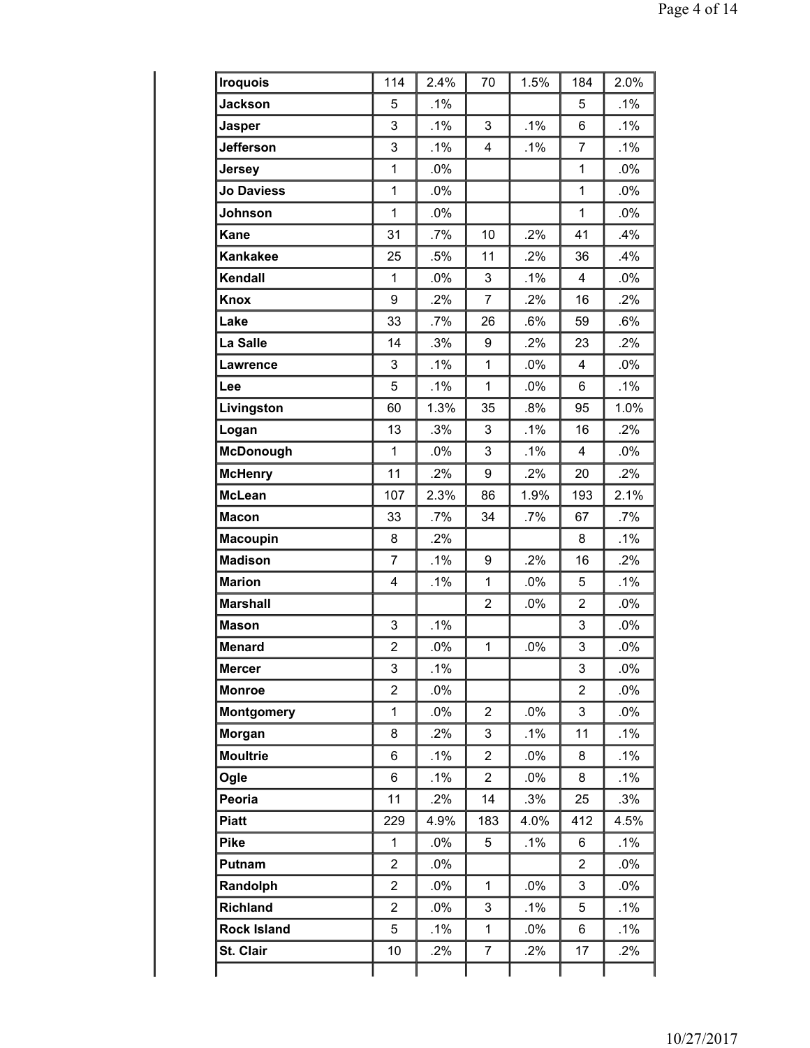| <b>Iroquois</b>    | 114            | 2.4%   | 70             | 1.5%   | 184            | 2.0%   |
|--------------------|----------------|--------|----------------|--------|----------------|--------|
| <b>Jackson</b>     | 5              | .1%    |                |        | 5              | .1%    |
| <b>Jasper</b>      | 3              | .1%    | 3              | $.1\%$ | 6              | $.1\%$ |
| <b>Jefferson</b>   | 3              | .1%    | 4              | .1%    | 7              | .1%    |
| Jersey             | $\mathbf 1$    | .0%    |                |        | $\mathbf{1}$   | .0%    |
| <b>Jo Daviess</b>  | $\mathbf 1$    | .0%    |                |        | $\mathbf{1}$   | .0%    |
| Johnson            | $\mathbf 1$    | .0%    |                |        | 1              | $.0\%$ |
| <b>Kane</b>        | 31             | .7%    | 10             | .2%    | 41             | .4%    |
| <b>Kankakee</b>    | 25             | .5%    | 11             | .2%    | 36             | .4%    |
| Kendall            | $\mathbf 1$    | .0%    | 3              | $.1\%$ | 4              | .0%    |
| <b>Knox</b>        | 9              | .2%    | $\overline{7}$ | .2%    | 16             | .2%    |
| Lake               | 33             | .7%    | 26             | .6%    | 59             | .6%    |
| La Salle           | 14             | .3%    | 9              | .2%    | 23             | .2%    |
| <b>Lawrence</b>    | 3              | .1%    | $\mathbf{1}$   | $.0\%$ | 4              | .0%    |
| Lee                | 5              | .1%    | 1              | $.0\%$ | 6              | $.1\%$ |
| Livingston         | 60             | 1.3%   | 35             | .8%    | 95             | 1.0%   |
| Logan              | 13             | .3%    | 3              | .1%    | 16             | .2%    |
| <b>McDonough</b>   | $\mathbf 1$    | .0%    | 3              | $.1\%$ | 4              | $.0\%$ |
| <b>McHenry</b>     | 11             | .2%    | 9              | .2%    | 20             | .2%    |
| <b>McLean</b>      | 107            | 2.3%   | 86             | 1.9%   | 193            | 2.1%   |
| <b>Macon</b>       | 33             | $.7\%$ | 34             | .7%    | 67             | $.7\%$ |
| <b>Macoupin</b>    | 8              | .2%    |                |        | 8              | $.1\%$ |
| <b>Madison</b>     | $\overline{7}$ | .1%    | 9              | .2%    | 16             | .2%    |
| <b>Marion</b>      | 4              | .1%    | $\mathbf{1}$   | .0%    | 5              | .1%    |
| <b>Marshall</b>    |                |        | $\overline{2}$ | .0%    | $\overline{2}$ | .0%    |
| <b>Mason</b>       | 3              | .1%    |                |        | 3              | $.0\%$ |
| <b>Menard</b>      | $\overline{c}$ | .0%    | $\mathbf{1}$   | .0%    | 3              | .0%    |
| <b>Mercer</b>      | 3              | $.1\%$ |                |        | 3              | .0%    |
| <b>Monroe</b>      | $\overline{2}$ | .0%    |                |        | $\overline{2}$ | .0%    |
| <b>Montgomery</b>  | $\mathbf 1$    | $.0\%$ | $\overline{2}$ | $.0\%$ | 3              | $.0\%$ |
| Morgan             | 8              | .2%    | 3              | $.1\%$ | 11             | .1%    |
| <b>Moultrie</b>    | 6              | .1%    | $\overline{2}$ | .0%    | 8              | $.1\%$ |
| Ogle               | 6              | .1%    | $\overline{2}$ | $.0\%$ | 8              | $.1\%$ |
| Peoria             | 11             | .2%    | 14             | .3%    | 25             | .3%    |
| <b>Piatt</b>       | 229            | 4.9%   | 183            | 4.0%   | 412            | 4.5%   |
| <b>Pike</b>        | $\mathbf{1}$   | $.0\%$ | 5              | $.1\%$ | 6              | $.1\%$ |
| Putnam             | $\overline{2}$ | $.0\%$ |                |        | 2              | $.0\%$ |
| Randolph           | $\overline{2}$ | $.0\%$ | $\mathbf{1}$   | $.0\%$ | 3              | $.0\%$ |
| <b>Richland</b>    | $\overline{2}$ | $.0\%$ | 3              | $.1\%$ | 5              | .1%    |
| <b>Rock Island</b> | 5              | .1%    | $\mathbf{1}$   | $.0\%$ | 6              | $.1\%$ |
| St. Clair          | 10             | .2%    | 7              | $.2\%$ | 17             | .2%    |
|                    |                |        |                |        |                |        |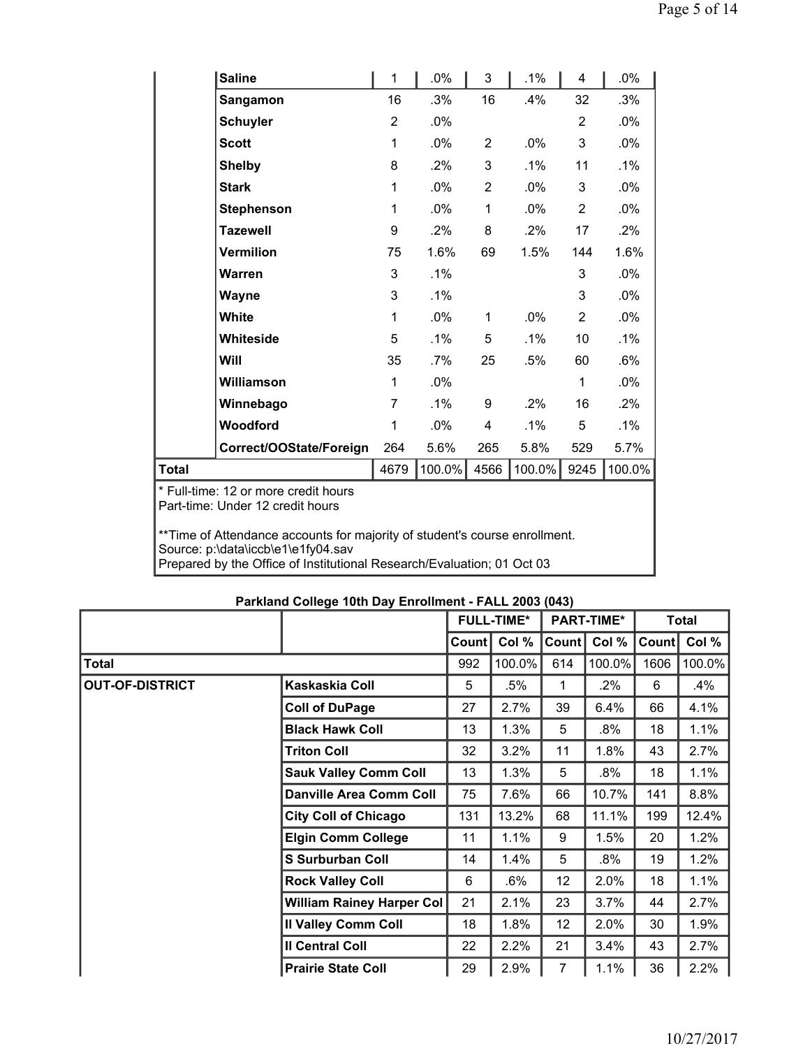|                                                                                                                  | <b>Saline</b>           | 1              | $.0\%$ | 3              | $.1\%$ | 4              | .0%    |  |
|------------------------------------------------------------------------------------------------------------------|-------------------------|----------------|--------|----------------|--------|----------------|--------|--|
|                                                                                                                  | Sangamon                | 16             | .3%    | 16             | .4%    | 32             | .3%    |  |
|                                                                                                                  | <b>Schuyler</b>         | 2              | $.0\%$ |                |        | 2              | $.0\%$ |  |
|                                                                                                                  | <b>Scott</b>            | 1              | $.0\%$ | $\overline{2}$ | $.0\%$ | 3              | $.0\%$ |  |
|                                                                                                                  | <b>Shelby</b>           | 8              | .2%    | 3              | $.1\%$ | 11             | .1%    |  |
|                                                                                                                  | <b>Stark</b>            | 1              | .0%    | $\overline{2}$ | $.0\%$ | 3              | $.0\%$ |  |
|                                                                                                                  | <b>Stephenson</b>       | 1              | $.0\%$ | 1              | $.0\%$ | 2              | $.0\%$ |  |
|                                                                                                                  | <b>Tazewell</b>         | 9              | $.2\%$ | 8              | $.2\%$ | 17             | $.2\%$ |  |
|                                                                                                                  | Vermilion               | 75             | 1.6%   | 69             | 1.5%   | 144            | 1.6%   |  |
|                                                                                                                  | <b>Warren</b>           | 3              | .1%    |                |        | 3              | $.0\%$ |  |
|                                                                                                                  | Wayne                   | 3              | .1%    |                |        | 3              | .0%    |  |
|                                                                                                                  | White                   | 1              | .0%    | 1              | $.0\%$ | $\overline{2}$ | $.0\%$ |  |
|                                                                                                                  | Whiteside               | 5              | $.1\%$ | 5              | $.1\%$ | 10             | .1%    |  |
|                                                                                                                  | Will                    | 35             | $.7\%$ | 25             | .5%    | 60             | .6%    |  |
|                                                                                                                  | Williamson              | 1              | .0%    |                |        | $\mathbf{1}$   | .0%    |  |
|                                                                                                                  | Winnebago               | $\overline{7}$ | $.1\%$ | 9              | $.2\%$ | 16             | .2%    |  |
|                                                                                                                  | Woodford                | 1              | .0%    | 4              | $.1\%$ | 5              | $.1\%$ |  |
|                                                                                                                  | Correct/OOState/Foreign | 264            | 5.6%   | 265            | 5.8%   | 529            | 5.7%   |  |
| Total                                                                                                            |                         | 4679           | 100.0% | 4566           | 100.0% | 9245           | 100.0% |  |
| * Full-time: 12 or more credit hours<br>Part-time: Under 12 credit hours                                         |                         |                |        |                |        |                |        |  |
| **Time of Attendance accounts for majority of student's course enrollment.<br>Source: p:\data\iccb\e1\e1fy04.sav |                         |                |        |                |        |                |        |  |

Prepared by the Office of Institutional Research/Evaluation; 01 Oct 03

|  | Parkland College 10th Day Enrollment - FALL 2003 (043) |  |  |
|--|--------------------------------------------------------|--|--|
|  |                                                        |  |  |

|                        |                                  |       | <b>FULL-TIME*</b> |                 | <b>PART-TIME*</b> |       | Total  |
|------------------------|----------------------------------|-------|-------------------|-----------------|-------------------|-------|--------|
|                        |                                  | Count | Col %             | Count           | Col %             | Count | Col %  |
| Total                  |                                  | 992   | 100.0%            | 614             | 100.0%            | 1606  | 100.0% |
| <b>OUT-OF-DISTRICT</b> | Kaskaskia Coll                   | 5     | .5%               | 1               | .2%               | 6     | $.4\%$ |
|                        | <b>Coll of DuPage</b>            | 27    | 2.7%              | 39              | 6.4%              | 66    | 4.1%   |
|                        | <b>Black Hawk Coll</b>           | 13    | 1.3%              | 5               | .8%               | 18    | 1.1%   |
|                        | <b>Triton Coll</b>               | 32    | 3.2%              | 11              | 1.8%              | 43    | 2.7%   |
|                        | <b>Sauk Valley Comm Coll</b>     | 13    | 1.3%              | 5               | .8%               | 18    | 1.1%   |
|                        | <b>Danville Area Comm Coll</b>   | 75    | 7.6%              | 66              | 10.7%             | 141   | 8.8%   |
|                        | <b>City Coll of Chicago</b>      | 131   | 13.2%             | 68              | 11.1%             | 199   | 12.4%  |
|                        | <b>Elgin Comm College</b>        | 11    | 1.1%              | 9               | 1.5%              | 20    | 1.2%   |
|                        | <b>S Surburban Coll</b>          | 14    | 1.4%              | 5               | .8%               | 19    | 1.2%   |
|                        | <b>Rock Valley Coll</b>          | 6     | .6%               | 12 <sub>2</sub> | 2.0%              | 18    | 1.1%   |
|                        | <b>William Rainey Harper Col</b> | 21    | 2.1%              | 23              | 3.7%              | 44    | 2.7%   |
|                        | <b>Il Valley Comm Coll</b>       | 18    | 1.8%              | 12 <sub>2</sub> | 2.0%              | 30    | 1.9%   |
|                        | <b>Il Central Coll</b>           | 22    | 2.2%              | 21              | 3.4%              | 43    | 2.7%   |
|                        | <b>Prairie State Coll</b>        | 29    | 2.9%              | $\overline{7}$  | 1.1%              | 36    | 2.2%   |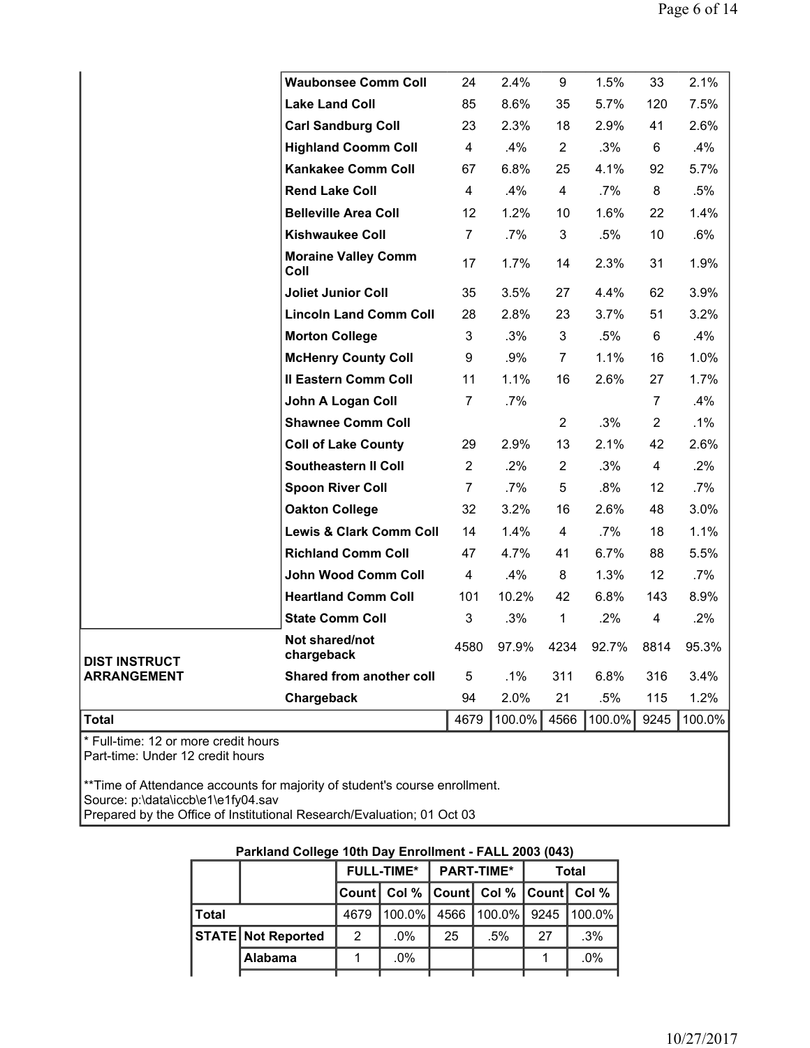|                      | <b>Waubonsee Comm Coll</b>         | 24             | 2.4%   | 9              | 1.5%   | 33                      | 2.1%   |
|----------------------|------------------------------------|----------------|--------|----------------|--------|-------------------------|--------|
|                      | <b>Lake Land Coll</b>              | 85             | 8.6%   | 35             | 5.7%   | 120                     | 7.5%   |
|                      | <b>Carl Sandburg Coll</b>          | 23             | 2.3%   | 18             | 2.9%   | 41                      | 2.6%   |
|                      | <b>Highland Coomm Coll</b>         | $\overline{4}$ | .4%    | $\overline{2}$ | .3%    | 6                       | .4%    |
|                      | <b>Kankakee Comm Coll</b>          | 67             | 6.8%   | 25             | 4.1%   | 92                      | 5.7%   |
|                      | <b>Rend Lake Coll</b>              | $\overline{4}$ | .4%    | $\overline{4}$ | $.7\%$ | 8                       | .5%    |
|                      | <b>Belleville Area Coll</b>        | 12             | 1.2%   | 10             | 1.6%   | 22                      | 1.4%   |
|                      | <b>Kishwaukee Coll</b>             | $\overline{7}$ | $.7\%$ | 3              | .5%    | 10                      | .6%    |
|                      | <b>Moraine Valley Comm</b><br>Coll | 17             | 1.7%   | 14             | 2.3%   | 31                      | 1.9%   |
|                      | <b>Joliet Junior Coll</b>          | 35             | 3.5%   | 27             | 4.4%   | 62                      | 3.9%   |
|                      | <b>Lincoln Land Comm Coll</b>      | 28             | 2.8%   | 23             | 3.7%   | 51                      | 3.2%   |
|                      | <b>Morton College</b>              | 3              | .3%    | 3              | .5%    | 6                       | .4%    |
|                      | <b>McHenry County Coll</b>         | 9              | .9%    | $\overline{7}$ | 1.1%   | 16                      | 1.0%   |
|                      | <b>Il Eastern Comm Coll</b>        | 11             | 1.1%   | 16             | 2.6%   | 27                      | 1.7%   |
|                      | John A Logan Coll                  | $\overline{7}$ | $.7\%$ |                |        | $\overline{7}$          | .4%    |
|                      | <b>Shawnee Comm Coll</b>           |                |        | $\overline{2}$ | .3%    | $\overline{2}$          | $.1\%$ |
|                      | <b>Coll of Lake County</b>         | 29             | 2.9%   | 13             | 2.1%   | 42                      | 2.6%   |
|                      | <b>Southeastern II Coll</b>        | $\overline{2}$ | .2%    | $\overline{2}$ | .3%    | 4                       | .2%    |
|                      | <b>Spoon River Coll</b>            | $\overline{7}$ | $.7\%$ | 5              | .8%    | 12                      | .7%    |
|                      | <b>Oakton College</b>              | 32             | 3.2%   | 16             | 2.6%   | 48                      | 3.0%   |
|                      | <b>Lewis &amp; Clark Comm Coll</b> | 14             | 1.4%   | 4              | $.7\%$ | 18                      | 1.1%   |
|                      | <b>Richland Comm Coll</b>          | 47             | 4.7%   | 41             | 6.7%   | 88                      | 5.5%   |
|                      | <b>John Wood Comm Coll</b>         | $\overline{4}$ | .4%    | 8              | 1.3%   | 12                      | $.7\%$ |
|                      | <b>Heartland Comm Coll</b>         | 101            | 10.2%  | 42             | 6.8%   | 143                     | 8.9%   |
|                      | <b>State Comm Coll</b>             | 3              | .3%    | $\mathbf{1}$   | .2%    | $\overline{\mathbf{4}}$ | .2%    |
| <b>DIST INSTRUCT</b> | Not shared/not<br>chargeback       | 4580           | 97.9%  | 4234           | 92.7%  | 8814                    | 95.3%  |
| <b>ARRANGEMENT</b>   | Shared from another coll           | 5              | $.1\%$ | 311            | 6.8%   | 316                     | 3.4%   |
|                      | Chargeback                         | 94             | 2.0%   | 21             | .5%    | 115                     | 1.2%   |
| Total                |                                    | 4679           | 100.0% | 4566           | 100.0% | 9245                    | 100.0% |
|                      |                                    |                |        |                |        |                         |        |

\* Full-time: 12 or more credit hours Part-time: Under 12 credit hours

\*\*Time of Attendance accounts for majority of student's course enrollment. Source: p:\data\iccb\e1\e1fy04.sav Prepared by the Office of Institutional Research/Evaluation; 01 Oct 03

|         | Parkland College 10th Day Enrollment - FALL 2003 (043) |      |                   |    |                                               |       |             |  |  |  |  |
|---------|--------------------------------------------------------|------|-------------------|----|-----------------------------------------------|-------|-------------|--|--|--|--|
|         |                                                        |      | <b>FULL-TIME*</b> |    | <b>PART-TIME*</b>                             | Total |             |  |  |  |  |
|         |                                                        |      |                   |    | Count   Col %   Count   Col %   Count   Col % |       |             |  |  |  |  |
| l Total |                                                        | 4679 | 100.0%            |    | 4566   100.0%   9245                          |       | $ 100.0\% $ |  |  |  |  |
|         | <b>STATE Not Reported</b>                              | 2    | $.0\%$            | 25 | $.5\%$                                        | 27    | .3%         |  |  |  |  |
|         | Alabama                                                |      | $.0\%$            |    |                                               |       | .0%         |  |  |  |  |
|         |                                                        |      |                   |    |                                               |       |             |  |  |  |  |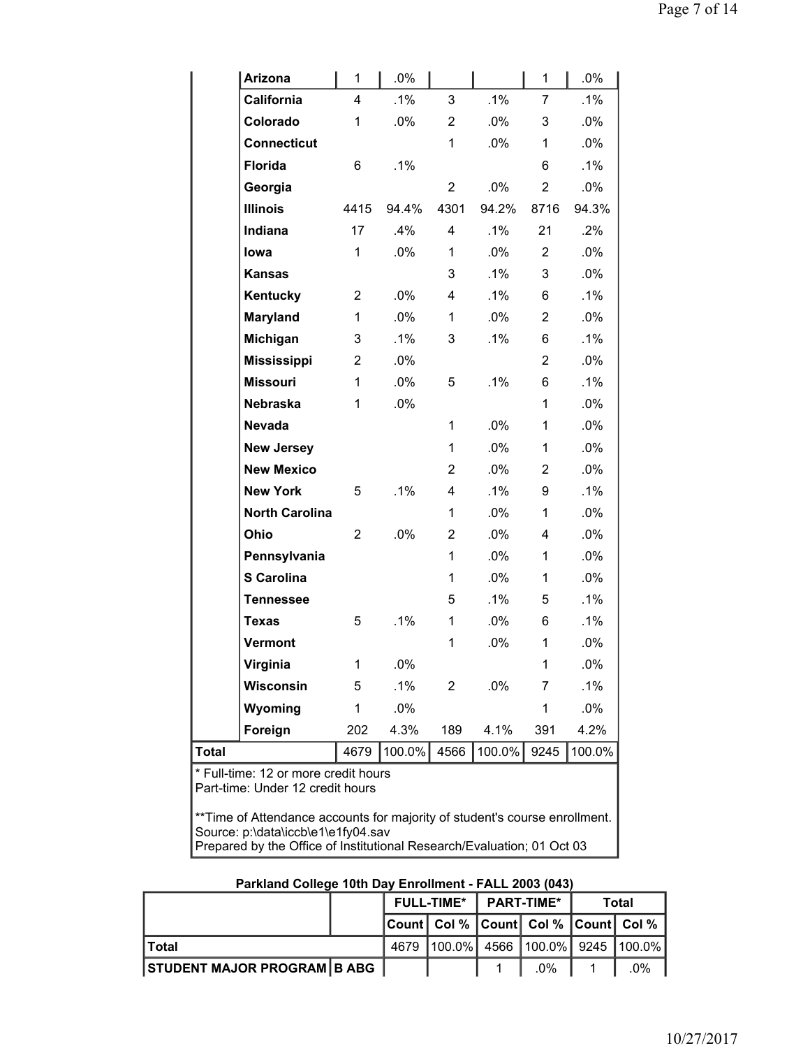| <b>Arizona</b>                                                           | 1              | .0%    |                |        | 1              | .0%    |
|--------------------------------------------------------------------------|----------------|--------|----------------|--------|----------------|--------|
| California                                                               | 4              | .1%    | 3              | .1%    | 7              | $.1\%$ |
| Colorado                                                                 | 1              | .0%    | $\overline{2}$ | .0%    | 3              | .0%    |
| <b>Connecticut</b>                                                       |                |        | 1              | .0%    | 1              | .0%    |
| <b>Florida</b>                                                           | 6              | .1%    |                |        | 6              | .1%    |
| Georgia                                                                  |                |        | $\overline{2}$ | .0%    | $\overline{2}$ | .0%    |
| <b>Illinois</b>                                                          | 4415           | 94.4%  | 4301           | 94.2%  | 8716           | 94.3%  |
| <b>Indiana</b>                                                           | 17             | .4%    | 4              | .1%    | 21             | .2%    |
| lowa                                                                     | 1              | .0%    | 1              | .0%    | $\overline{2}$ | .0%    |
| <b>Kansas</b>                                                            |                |        | 3              | $.1\%$ | 3              | .0%    |
| Kentucky                                                                 | $\overline{2}$ | $.0\%$ | 4              | .1%    | 6              | $.1\%$ |
| Maryland                                                                 | 1              | .0%    | 1              | .0%    | $\overline{2}$ | .0%    |
| Michigan                                                                 | 3              | .1%    | 3              | .1%    | 6              | .1%    |
| <b>Mississippi</b>                                                       | 2              | $.0\%$ |                |        | $\overline{2}$ | .0%    |
| <b>Missouri</b>                                                          | 1              | $.0\%$ | 5              | .1%    | 6              | $.1\%$ |
| <b>Nebraska</b>                                                          | 1              | $.0\%$ |                |        | 1              | .0%    |
| <b>Nevada</b>                                                            |                |        | 1              | .0%    | 1              | .0%    |
| <b>New Jersey</b>                                                        |                |        | 1              | .0%    | 1              | .0%    |
| <b>New Mexico</b>                                                        |                |        | $\overline{2}$ | .0%    | $\overline{2}$ | .0%    |
| <b>New York</b>                                                          | 5              | $.1\%$ | 4              | .1%    | 9              | $.1\%$ |
| <b>North Carolina</b>                                                    |                |        | 1              | .0%    | 1              | .0%    |
| Ohio                                                                     | 2              | $.0\%$ | $\overline{2}$ | .0%    | 4              | .0%    |
| Pennsylvania                                                             |                |        | 1              | .0%    | 1              | .0%    |
| S Carolina                                                               |                |        | 1              | .0%    | 1              | .0%    |
| <b>Tennessee</b>                                                         |                |        | 5              | $.1\%$ | 5              | $.1\%$ |
| <b>Texas</b>                                                             | 5              | .1%    | 1              | .0%    | 6              | .1%    |
| Vermont                                                                  |                |        | 1              | .0%    | 1              | .0%    |
| Virginia                                                                 | 1              | .0%    |                |        | 1              | .0%    |
| Wisconsin                                                                | 5              | .1%    | 2              | .0%    | 7              | $.1\%$ |
| Wyoming                                                                  | 1              | .0%    |                |        | 1              | .0%    |
| Foreign                                                                  | 202            | 4.3%   | 189            | 4.1%   | 391            | 4.2%   |
| <b>Total</b>                                                             | 4679           | 100.0% | 4566           | 100.0% | 9245           | 100.0% |
| * Full-time: 12 or more credit hours<br>Part-time: Hnder 12 credit hours |                |        |                |        |                |        |
|                                                                          |                |        |                |        |                |        |

Part-time: Under 12 credit hours

\*\*Time of Attendance accounts for majority of student's course enrollment. Source: p:\data\iccb\e1\e1fy04.sav Prepared by the Office of Institutional Research/Evaluation; 01 Oct 03

|                                    |  | <b>FULL-TIME*</b> |  | $\blacksquare$ PART-TIME* |                                            | Total |
|------------------------------------|--|-------------------|--|---------------------------|--------------------------------------------|-------|
|                                    |  |                   |  |                           | Count  Col %   Count  Col %   Count  Col % |       |
| ⊺Total                             |  | 4679              |  |                           | $100.0\%$ 4566 100.0% 9245 100.0%          |       |
| <b>STUDENT MAJOR PROGRAM B ABG</b> |  |                   |  |                           | .በ%                                        | 0%    |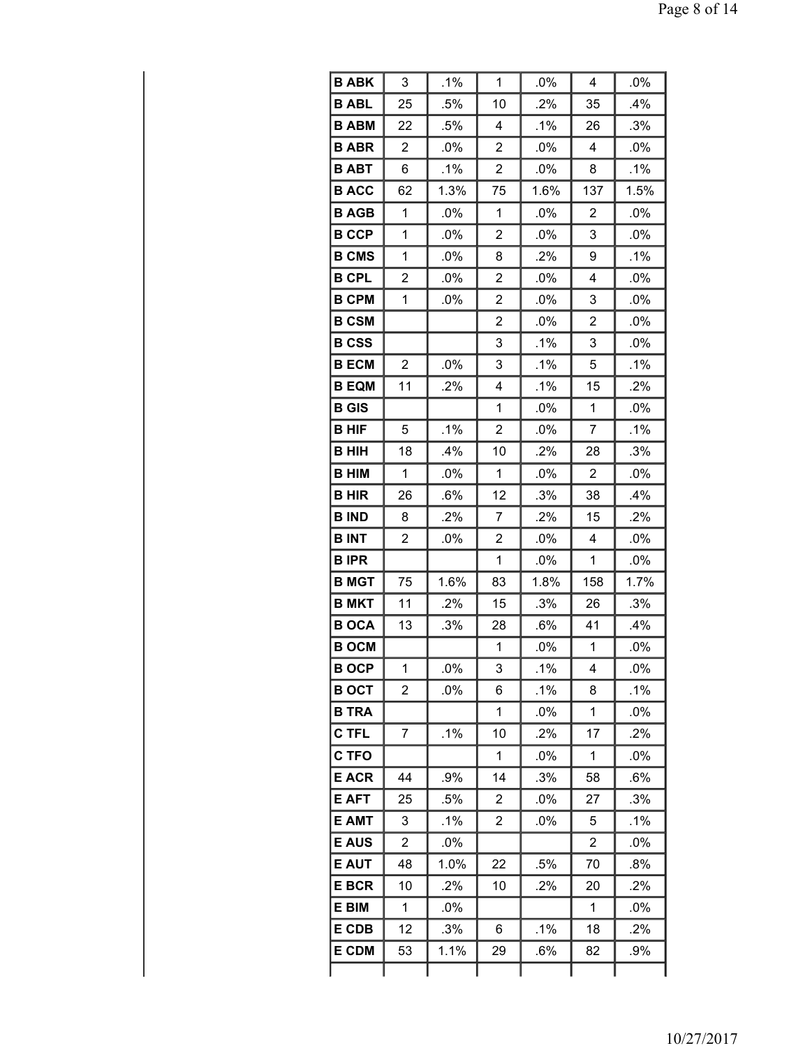| <b>B ABK</b> | 3              | .1%    | 1              | .0%    | 4              | .0%    |
|--------------|----------------|--------|----------------|--------|----------------|--------|
| <b>B ABL</b> | 25             | .5%    | 10             | .2%    | 35             | .4%    |
| <b>B ABM</b> | 22             | .5%    | 4              | .1%    | 26             | .3%    |
| <b>B ABR</b> | 2              | .0%    | 2              | .0%    | 4              | $.0\%$ |
| <b>B ABT</b> | 6              | $.1\%$ | $\overline{2}$ | .0%    | 8              | .1%    |
| <b>B ACC</b> | 62             | 1.3%   | 75             | 1.6%   | 137            | 1.5%   |
| <b>B AGB</b> | 1              | $.0\%$ | 1              | .0%    | 2              | .0%    |
| <b>B CCP</b> | 1              | .0%    | 2              | .0%    | 3              | .0%    |
| <b>B CMS</b> | 1              | $.0\%$ | 8              | .2%    | 9              | $.1\%$ |
| <b>B CPL</b> | $\overline{2}$ | .0%    | $\overline{2}$ | .0%    | 4              | .0%    |
| <b>B CPM</b> | 1              | $.0\%$ | $\overline{2}$ | $.0\%$ | 3              | .0%    |
| <b>B CSM</b> |                |        | $\overline{2}$ | .0%    | 2              | .0%    |
| <b>B CSS</b> |                |        | 3              | .1%    | 3              | .0%    |
| <b>B ECM</b> | 2              | .0%    | 3              | .1%    | 5              | .1%    |
| <b>B EQM</b> | 11             | $.2\%$ | 4              | .1%    | 15             | .2%    |
| <b>B</b> GIS |                |        | 1              | .0%    | 1              | .0%    |
| <b>B HIF</b> | 5              | .1%    | $\overline{2}$ | .0%    | 7              | .1%    |
| <b>BHIH</b>  | 18             | .4%    | 10             | .2%    | 28             | .3%    |
| <b>B HIM</b> | 1              | .0%    | 1              | .0%    | $\overline{2}$ | .0%    |
| <b>BHIR</b>  | 26             | .6%    | 12             | .3%    | 38             | $.4\%$ |
| <b>B IND</b> | 8              | .2%    | 7              | .2%    | 15             | .2%    |
| <b>BINT</b>  | 2              | .0%    | 2              | .0%    | 4              | .0%    |
| <b>BIPR</b>  |                |        | 1              | .0%    | 1              | .0%    |
| <b>B MGT</b> | 75             | 1.6%   | 83             | 1.8%   | 158            | 1.7%   |
| <b>B MKT</b> | 11             | .2%    | 15             | .3%    | 26             | .3%    |
| <b>BOCA</b>  | 13             | .3%    | 28             | .6%    | 41             | .4%    |
| <b>B OCM</b> |                |        | 1              | .0%    | 1              | .0%    |
| <b>BOCP</b>  | 1              | .0%    | 3              | $.1\%$ | 4              | .0%    |
| <b>B OCT</b> | $\overline{2}$ | .0%    | 6              | .1%    | 8              | .1%    |
| <b>B TRA</b> |                |        | 1              | $.0\%$ | 1              | $.0\%$ |
| <b>C TFL</b> | 7              | .1%    | 10             | .2%    | 17             | .2%    |
| <b>C TFO</b> |                |        | 1              | .0%    | 1              | .0%    |
| <b>E ACR</b> | 44             | .9%    | 14             | .3%    | 58             | .6%    |
| <b>E AFT</b> | 25             | .5%    | 2              | .0%    | 27             | .3%    |
| <b>E AMT</b> | 3              | $.1\%$ | $\overline{2}$ | .0%    | 5              | .1%    |
| <b>E AUS</b> | $\overline{c}$ | .0%    |                |        | $\overline{2}$ | .0%    |
| <b>E AUT</b> | 48             | 1.0%   | 22             | .5%    | 70             | .8%    |
| <b>E BCR</b> | 10             | $.2\%$ | 10             | .2%    | 20             | .2%    |
| E BIM        | 1              | .0%    |                |        | 1              | .0%    |
| E CDB        | 12             | .3%    | 6              | .1%    | 18             | .2%    |
| <b>E CDM</b> | 53             | 1.1%   | 29             | .6%    | 82             | .9%    |
|              |                |        |                |        |                |        |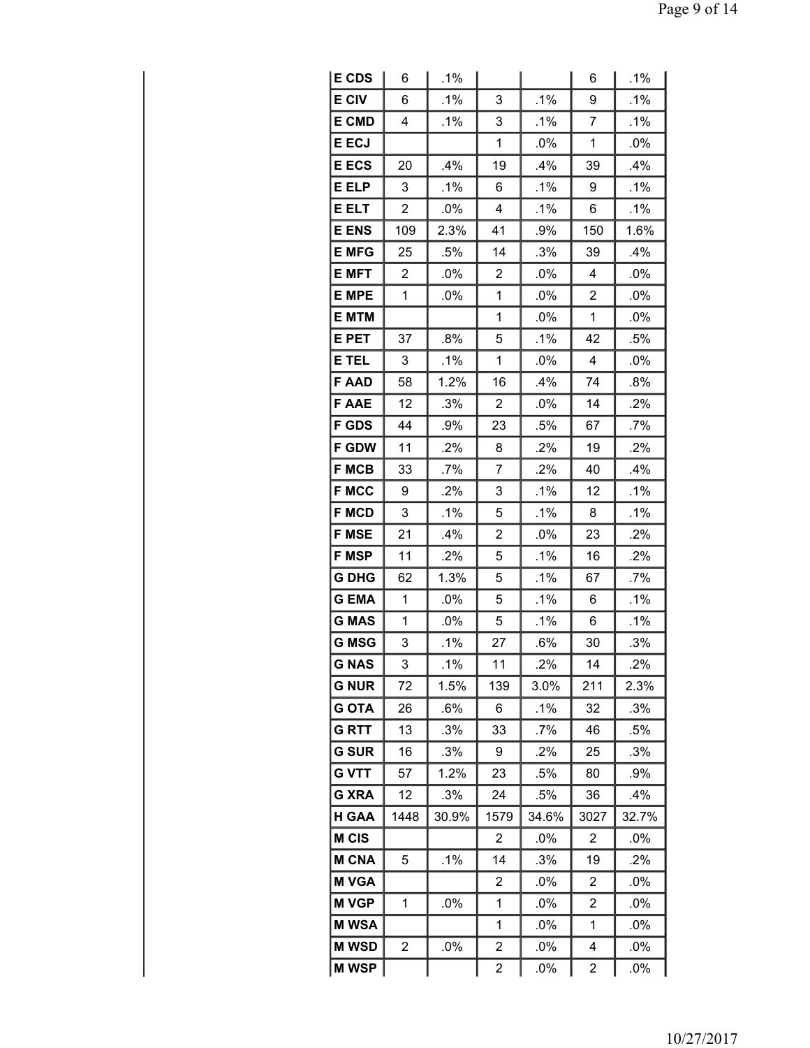| <b>E CDS</b> | 6              | .1%    |                         |        | 6              | .1%    |
|--------------|----------------|--------|-------------------------|--------|----------------|--------|
| <b>E CIV</b> | 6              | .1%    | 3                       | .1%    | 9              | .1%    |
| <b>E CMD</b> | 4              | .1%    | 3                       | .1%    | 7              | .1%    |
| <b>E ECJ</b> |                |        | 1                       | .0%    | 1              | .0%    |
| <b>E ECS</b> | 20             | $.4\%$ | 19                      | .4%    | 39             | .4%    |
| E ELP        | 3              | .1%    | 6                       | .1%    | 9              | .1%    |
| <b>E ELT</b> | $\overline{2}$ | .0%    | 4                       | .1%    | 6              | .1%    |
| <b>E ENS</b> | 109            | 2.3%   | 41                      | .9%    | 150            | 1.6%   |
| <b>E MFG</b> | 25             | .5%    | 14                      | .3%    | 39             | .4%    |
| <b>E MFT</b> | 2              | $.0\%$ | 2                       | .0%    | 4              | $.0\%$ |
| <b>E MPE</b> | 1              | .0%    | 1                       | .0%    | $\overline{2}$ | .0%    |
| <b>E MTM</b> |                |        | 1                       | .0%    | 1              | .0%    |
| E PET        | 37             | .8%    | 5                       | .1%    | 42             | .5%    |
| E TEL        | 3              | $.1\%$ | 1                       | .0%    | 4              | .0%    |
| <b>FAAD</b>  | 58             | 1.2%   | 16                      | .4%    | 74             | .8%    |
| <b>F AAE</b> | 12             | .3%    | $\overline{c}$          | .0%    | 14             | .2%    |
| <b>F GDS</b> | 44             | .9%    | 23                      | .5%    | 67             | .7%    |
| <b>F GDW</b> | 11             | .2%    | 8                       | .2%    | 19             | .2%    |
| <b>F MCB</b> | 33             | $.7\%$ | $\overline{7}$          | .2%    | 40             | .4%    |
| <b>F MCC</b> | 9              | .2%    | 3                       | .1%    | 12             | .1%    |
| <b>F MCD</b> | 3              | .1%    | 5                       | .1%    | 8              | .1%    |
| <b>F MSE</b> | 21             | .4%    | $\overline{2}$          | .0%    | 23             | .2%    |
| <b>F MSP</b> | 11             | .2%    | 5                       | .1%    | 16             | .2%    |
| <b>G DHG</b> | 62             | 1.3%   | 5                       | .1%    | 67             | .7%    |
| <b>GEMA</b>  | $\mathbf 1$    | .0%    | 5                       | .1%    | 6              | .1%    |
| <b>G MAS</b> | 1              | .0%    | 5                       | .1%    | 6              | .1%    |
| <b>G MSG</b> | 3              | .1%    | 27                      | .6%    | 30             | .3%    |
| G NAS        | 3              | .1%    | 11                      | .2%    | 14             | .2%    |
| <b>G NUR</b> | 72             | 1.5%   | 139                     | 3.0%   | 211            | 2.3%   |
| <b>G OTA</b> | 26             | .6%    | 6                       | $.1\%$ | 32             | .3%    |
| <b>GRTT</b>  | 13             | .3%    | 33                      | .7%    | 46             | .5%    |
| <b>G SUR</b> | 16             | .3%    | 9                       | .2%    | 25             | .3%    |
| <b>G VTT</b> | 57             | 1.2%   | 23                      | .5%    | 80             | .9%    |
| <b>G XRA</b> | 12             | .3%    | 24                      | .5%    | 36             | .4%    |
| <b>H GAA</b> | 1448           | 30.9%  | 1579                    | 34.6%  | 3027           | 32.7%  |
| <b>M CIS</b> |                |        | 2                       | .0%    | 2              | $.0\%$ |
| <b>M CNA</b> | 5              | .1%    | 14                      | .3%    | 19             | .2%    |
| <b>M VGA</b> |                |        | 2                       | .0%    | 2              | .0%    |
| <b>M VGP</b> | 1              | $.0\%$ | 1                       | $.0\%$ | 2              | $.0\%$ |
| <b>MWSA</b>  |                |        | 1                       | .0%    | 1              | .0%    |
| <b>MWSD</b>  | 2              | .0%    | $\overline{\mathbf{c}}$ | .0%    | 4              | .0%    |
| <b>MWSP</b>  |                |        | $\overline{\mathbf{c}}$ | $.0\%$ | 2              | .0%    |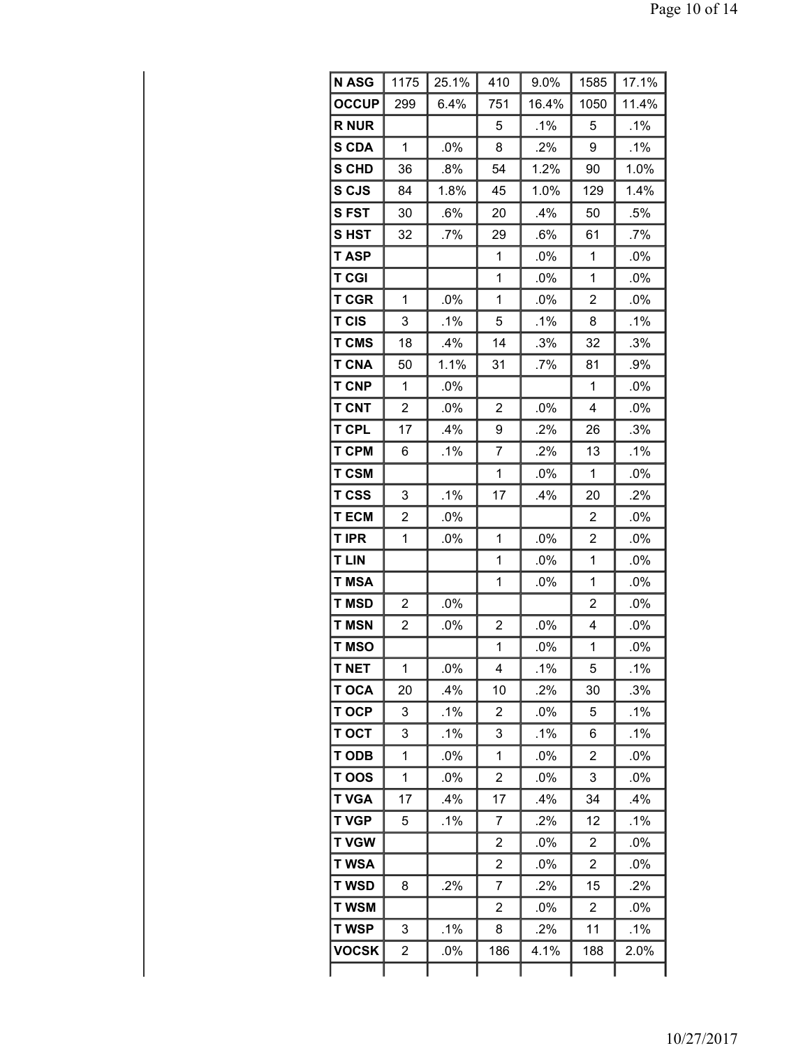| <b>N ASG</b> | 1175 | 25.1%  | 410            | 9.0%   | 1585           | 17.1%  |
|--------------|------|--------|----------------|--------|----------------|--------|
| <b>OCCUP</b> | 299  | 6.4%   | 751            | 16.4%  | 1050           | 11.4%  |
| <b>R NUR</b> |      |        | 5              | .1%    | 5              | $.1\%$ |
| S CDA        | 1    | .0%    | 8              | .2%    | 9              | .1%    |
| S CHD        | 36   | .8%    | 54             | 1.2%   | 90             | 1.0%   |
| S CJS        | 84   | 1.8%   | 45             | 1.0%   | 129            | 1.4%   |
| <b>SFST</b>  | 30   | $.6\%$ | 20             | .4%    | 50             | .5%    |
| SHST         | 32   | .7%    | 29             | .6%    | 61             | .7%    |
| <b>TASP</b>  |      |        | 1              | $.0\%$ | 1              | .0%    |
| <b>T CGI</b> |      |        | 1              | .0%    | 1              | .0%    |
| T CGR        | 1    | .0%    | 1              | .0%    | 2              | $.0\%$ |
| <b>T CIS</b> | 3    | .1%    | 5              | .1%    | 8              | .1%    |
| <b>T CMS</b> | 18   | .4%    | 14             | .3%    | 32             | .3%    |
| <b>T CNA</b> | 50   | 1.1%   | 31             | .7%    | 81             | .9%    |
| <b>T CNP</b> | 1    | $.0\%$ |                |        | 1              | $.0\%$ |
| <b>T CNT</b> | 2    | .0%    | $\overline{2}$ | .0%    | 4              | .0%    |
| <b>T CPL</b> | 17   | $.4\%$ | 9              | .2%    | 26             | .3%    |
| <b>T CPM</b> | 6    | .1%    | 7              | .2%    | 13             | .1%    |
| <b>T CSM</b> |      |        | 1              | .0%    | 1              | $.0\%$ |
| T CSS        | 3    | .1%    | 17             | .4%    | 20             | .2%    |
| <b>TECM</b>  | 2    | $.0\%$ |                |        | 2              | $.0\%$ |
| <b>T IPR</b> | 1    | .0%    | 1              | .0%    | 2              | .0%    |
| <b>T LIN</b> |      |        | 1              | .0%    | 1              | .0%    |
| <b>T MSA</b> |      |        | 1              | .0%    | 1              | .0%    |
| <b>T MSD</b> | 2    | .0%    |                |        | 2              | $.0\%$ |
| <b>T MSN</b> | 2    | .0%    | $\overline{2}$ | .0%    | 4              | .0%    |
| T MSO        |      |        | 1              | .0%    | 1              | .0%    |
| <b>T NET</b> | 1    | .0%    | 4              | .1%    | 5              | .1%    |
| <b>T OCA</b> | 20   | .4%    | 10             | .2%    | 30             | .3%    |
| T OCP        | 3    | .1%    | 2              | .0%    | 5              | $.1\%$ |
| <b>TOCT</b>  | 3    | .1%    | 3              | .1%    | 6              | .1%    |
| <b>T ODB</b> | 1    | .0%    | 1              | .0%    | 2              | .0%    |
| T OOS        | 1    | $.0\%$ | 2              | .0%    | 3              | $.0\%$ |
| <b>T VGA</b> | 17   | $.4\%$ | 17             | .4%    | 34             | .4%    |
| <b>T VGP</b> | 5    | .1%    | 7              | .2%    | 12             | .1%    |
| <b>T VGW</b> |      |        | 2              | .0%    | 2              | $.0\%$ |
| <b>T WSA</b> |      |        | $\overline{2}$ | $.0\%$ | $\overline{2}$ | .0%    |
| <b>T WSD</b> | 8    | $.2\%$ | 7              | .2%    | 15             | .2%    |
| <b>T WSM</b> |      |        | $\overline{2}$ | .0%    | $\overline{2}$ | .0%    |
| <b>T WSP</b> | 3    | .1%    | 8              | .2%    | 11             | .1%    |
| <b>VOCSK</b> | 2    | $.0\%$ | 186            | 4.1%   | 188            | 2.0%   |
|              |      |        |                |        |                |        |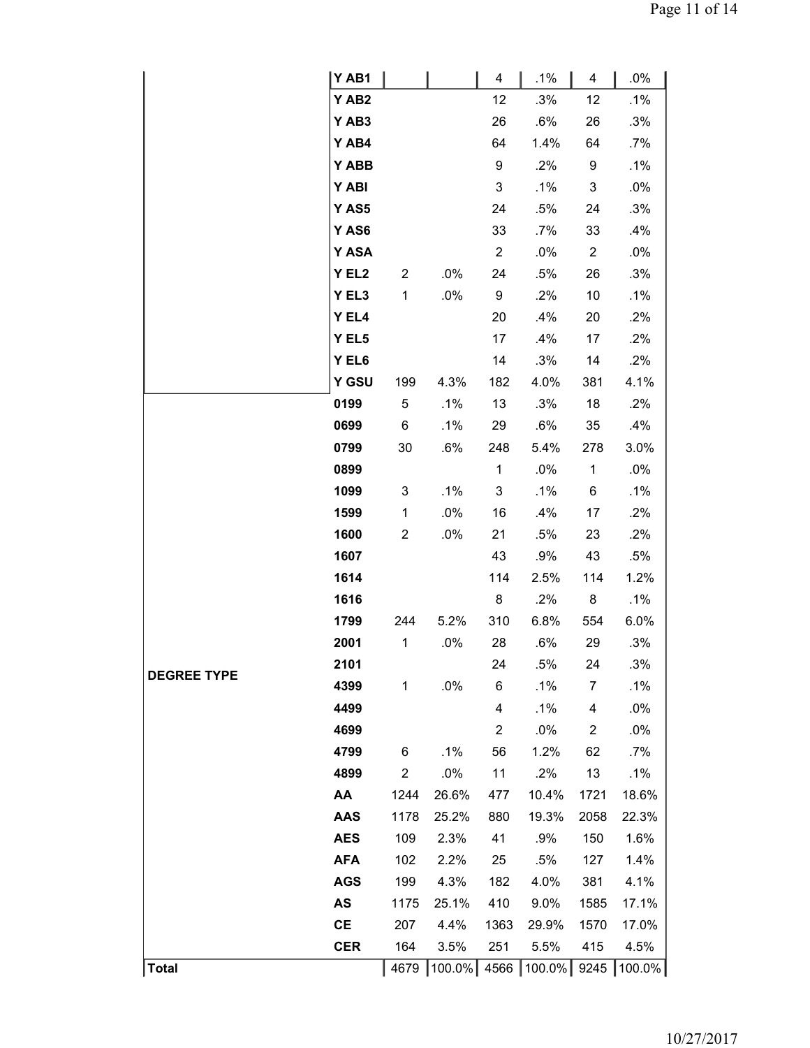|                    | Y AB1            |                         |             | 4              | .1%                  | 4              | .0%    |
|--------------------|------------------|-------------------------|-------------|----------------|----------------------|----------------|--------|
|                    | YAB <sub>2</sub> |                         |             | 12             | .3%                  | 12             | .1%    |
|                    | YAB3             |                         |             | 26             | .6%                  | 26             | .3%    |
|                    | Y AB4            |                         |             | 64             | 1.4%                 | 64             | .7%    |
|                    | Y ABB            |                         |             | 9              | .2%                  | 9              | .1%    |
|                    | Y ABI            |                         |             | 3              | .1%                  | 3              | .0%    |
|                    | Y AS5            |                         |             | 24             | .5%                  | 24             | .3%    |
|                    | Y AS6            |                         |             | 33             | $.7\%$               | 33             | .4%    |
|                    | Y ASA            |                         |             | $\overline{c}$ | .0%                  | $\overline{c}$ | .0%    |
|                    | Y EL2            | $\overline{\mathbf{c}}$ | .0%         | 24             | .5%                  | 26             | .3%    |
|                    | Y EL3            | 1                       | .0%         | 9              | .2%                  | 10             | $.1\%$ |
|                    | Y EL4            |                         |             | 20             | .4%                  | 20             | .2%    |
|                    | Y EL5            |                         |             | 17             | .4%                  | 17             | .2%    |
|                    | Y EL6            |                         |             | 14             | .3%                  | 14             | .2%    |
|                    | Y GSU            | 199                     | 4.3%        | 182            | 4.0%                 | 381            | 4.1%   |
|                    | 0199             | 5                       | .1%         | 13             | .3%                  | 18             | .2%    |
|                    | 0699             | 6                       | .1%         | 29             | .6%                  | 35             | .4%    |
|                    | 0799             | 30                      | .6%         | 248            | 5.4%                 | 278            | 3.0%   |
|                    | 0899             |                         |             | $\mathbf{1}$   | .0%                  | 1              | .0%    |
|                    | 1099             | 3                       | .1%         | 3              | .1%                  | 6              | .1%    |
|                    | 1599             | $\mathbf 1$             | .0%         | 16             | .4%                  | 17             | .2%    |
|                    | 1600             | $\overline{c}$          | .0%         | 21             | .5%                  | 23             | .2%    |
|                    | 1607             |                         |             | 43             | .9%                  | 43             | .5%    |
|                    | 1614             |                         |             | 114            | 2.5%                 | 114            | 1.2%   |
|                    | 1616             |                         |             | 8              | .2%                  | 8              | $.1\%$ |
|                    | 1799             | 244                     | 5.2%        | 310            | 6.8%                 | 554            | 6.0%   |
|                    | 2001             | $\mathbf 1$             | .0%         | 28             | .6%                  | 29             | .3%    |
| <b>DEGREE TYPE</b> | 2101             |                         |             | 24             | .5%                  | 24             | .3%    |
|                    | 4399             | 1                       | .0%         | 6              | .1%                  | 7              | .1%    |
|                    | 4499             |                         |             | 4              | .1%                  | 4              | .0%    |
|                    | 4699             |                         |             | $\overline{c}$ | .0%                  | 2              | .0%    |
|                    | 4799             | 6                       | .1%         | 56             | 1.2%                 | 62             | $.7\%$ |
|                    | 4899             | $\boldsymbol{2}$        | .0%         | 11             | .2%                  | 13             | .1%    |
|                    | AA               | 1244                    | 26.6%       | 477            | 10.4%                | 1721           | 18.6%  |
|                    | <b>AAS</b>       | 1178                    | 25.2%       | 880            | 19.3%                | 2058           | 22.3%  |
|                    | <b>AES</b>       | 109                     | 2.3%        | 41             | .9%                  | 150            | 1.6%   |
|                    | <b>AFA</b>       | 102                     | 2.2%        | 25             | .5%                  | 127            | 1.4%   |
|                    | <b>AGS</b>       | 199                     | 4.3%        | 182            | 4.0%                 | 381            | 4.1%   |
|                    | AS               | 1175                    | 25.1%       | 410            | 9.0%                 | 1585           | 17.1%  |
|                    | <b>CE</b>        | 207                     | 4.4%        | 1363           | 29.9%                | 1570           | 17.0%  |
|                    | <b>CER</b>       | 164                     | 3.5%        | 251            | 5.5%                 | 415            | 4.5%   |
| <b>Total</b>       |                  | 4679                    | $ 100.0\% $ |                | 4566   100.0%   9245 |                | 100.0% |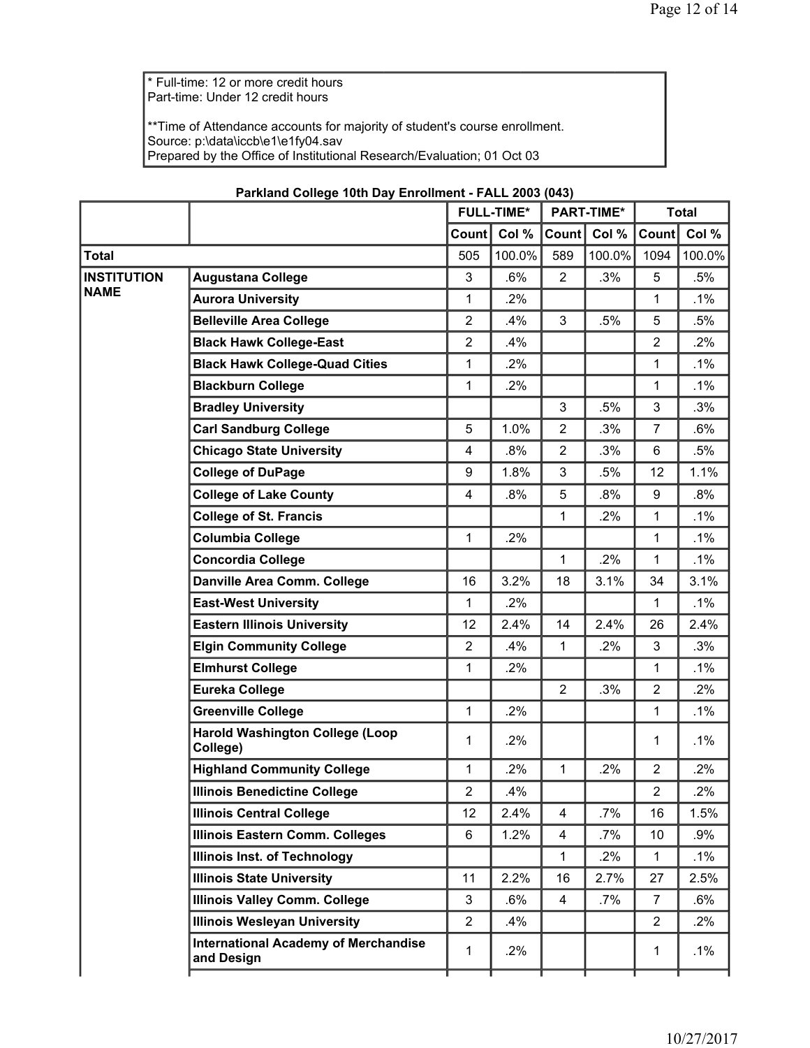\* Full-time: 12 or more credit hours Part-time: Under 12 credit hours

\*\*Time of Attendance accounts for majority of student's course enrollment. Source: p:\data\iccb\e1\e1fy04.sav Prepared by the Office of Institutional Research/Evaluation; 01 Oct 03

|                    |                                                           |                | <b>FULL-TIME*</b> | <b>PART-TIME*</b>       |        | <b>Total</b>   |        |
|--------------------|-----------------------------------------------------------|----------------|-------------------|-------------------------|--------|----------------|--------|
|                    |                                                           | Count          | Col %             | Count                   | Col %  | Count          | Col %  |
| <b>Total</b>       |                                                           | 505            | 100.0%            | 589                     | 100.0% | 1094           | 100.0% |
| <b>INSTITUTION</b> | <b>Augustana College</b>                                  | 3              | .6%               | $\overline{2}$          | .3%    | 5              | .5%    |
| <b>NAME</b>        | <b>Aurora University</b>                                  | 1              | .2%               |                         |        | 1              | .1%    |
|                    | <b>Belleville Area College</b>                            | $\overline{2}$ | .4%               | 3                       | .5%    | 5              | $.5\%$ |
|                    | <b>Black Hawk College-East</b>                            | $\overline{2}$ | .4%               |                         |        | $\overline{2}$ | .2%    |
|                    | <b>Black Hawk College-Quad Cities</b>                     | 1              | .2%               |                         |        | 1              | .1%    |
|                    | <b>Blackburn College</b>                                  | 1              | .2%               |                         |        | 1              | .1%    |
|                    | <b>Bradley University</b>                                 |                |                   | 3                       | .5%    | 3              | .3%    |
|                    | <b>Carl Sandburg College</b>                              | 5              | 1.0%              | $\overline{2}$          | .3%    | 7              | .6%    |
|                    | <b>Chicago State University</b>                           | 4              | .8%               | $\overline{2}$          | .3%    | 6              | $.5\%$ |
|                    | <b>College of DuPage</b>                                  | 9              | 1.8%              | 3                       | .5%    | 12             | 1.1%   |
|                    | <b>College of Lake County</b>                             | 4              | .8%               | 5                       | $.8\%$ | 9              | .8%    |
|                    | <b>College of St. Francis</b>                             |                |                   | $\mathbf{1}$            | .2%    | 1              | .1%    |
|                    | <b>Columbia College</b>                                   | 1              | $.2\%$            |                         |        | 1              | $.1\%$ |
|                    | <b>Concordia College</b>                                  |                |                   | $\mathbf{1}$            | .2%    | $\mathbf{1}$   | $.1\%$ |
|                    | Danville Area Comm. College                               | 16             | 3.2%              | 18                      | 3.1%   | 34             | 3.1%   |
|                    | <b>East-West University</b>                               | 1              | .2%               |                         |        | 1              | .1%    |
|                    | <b>Eastern Illinois University</b>                        | 12             | 2.4%              | 14                      | 2.4%   | 26             | 2.4%   |
|                    | <b>Elgin Community College</b>                            | 2              | .4%               | $\mathbf{1}$            | .2%    | 3              | .3%    |
|                    | <b>Elmhurst College</b>                                   | 1              | .2%               |                         |        | 1              | .1%    |
|                    | <b>Eureka College</b>                                     |                |                   | $\overline{2}$          | .3%    | $\overline{2}$ | 2%     |
|                    | <b>Greenville College</b>                                 | 1              | .2%               |                         |        | 1              | .1%    |
|                    | <b>Harold Washington College (Loop</b><br>College)        | 1              | .2%               |                         |        | 1              | .1%    |
|                    | <b>Highland Community College</b>                         | 1              | .2%               | $\mathbf{1}$            | .2%    | $\overline{2}$ | .2%    |
|                    | <b>Illinois Benedictine College</b>                       | 2              | 4%                |                         |        | $\mathbf 2$    | .2%    |
|                    | <b>Illinois Central College</b>                           | 12             | 2.4%              | $\overline{\mathbf{4}}$ | .7%    | 16             | 1.5%   |
|                    | <b>Illinois Eastern Comm. Colleges</b>                    | 6              | 1.2%              | $\overline{\mathbf{4}}$ | .7%    | 10             | .9%    |
|                    | <b>Illinois Inst. of Technology</b>                       |                |                   | $\mathbf{1}$            | .2%    | $\mathbf{1}$   | $.1\%$ |
|                    | <b>Illinois State University</b>                          | 11             | 2.2%              | 16                      | 2.7%   | 27             | 2.5%   |
|                    | <b>Illinois Valley Comm. College</b>                      | 3              | .6%               | 4                       | $.7\%$ | $\overline{7}$ | .6%    |
|                    | <b>Illinois Wesleyan University</b>                       | $\overline{2}$ | .4%               |                         |        | $\overline{2}$ | $.2\%$ |
|                    | <b>International Academy of Merchandise</b><br>and Design | 1              | $.2\%$            |                         |        | 1              | $.1\%$ |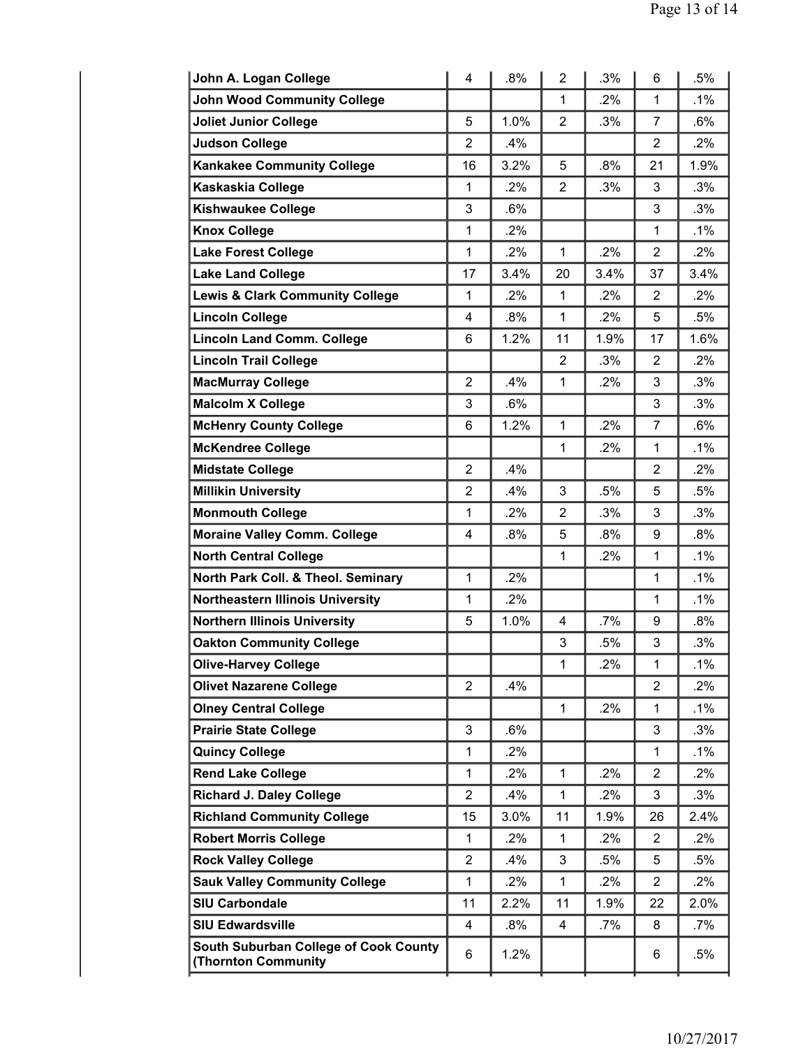| John A. Logan College                                               | 4              | .8%    | $\overline{2}$ | .3%    | 6              | .5%    |
|---------------------------------------------------------------------|----------------|--------|----------------|--------|----------------|--------|
| <b>John Wood Community College</b>                                  |                |        | 1              | .2%    | $\mathbf{1}$   | $.1\%$ |
| <b>Joliet Junior College</b>                                        | 5              | 1.0%   | $\overline{2}$ | .3%    | 7              | $.6\%$ |
| <b>Judson College</b>                                               | $\overline{2}$ | .4%    |                |        | 2              | $.2\%$ |
| <b>Kankakee Community College</b>                                   | 16             | 3.2%   | 5              | .8%    | 21             | 1.9%   |
| Kaskaskia College                                                   | 1              | .2%    | $\overline{2}$ | .3%    | 3              | .3%    |
| <b>Kishwaukee College</b>                                           | 3              | .6%    |                |        | 3              | .3%    |
| <b>Knox College</b>                                                 | $\mathbf{1}$   | $.2\%$ |                |        | 1              | .1%    |
| <b>Lake Forest College</b>                                          | $\mathbf{1}$   | 2%     | $\mathbf{1}$   | .2%    | $\overline{2}$ | .2%    |
| <b>Lake Land College</b>                                            | 17             | 3.4%   | 20             | 3.4%   | 37             | 3.4%   |
| <b>Lewis &amp; Clark Community College</b>                          | 1              | $.2\%$ | 1              | .2%    | 2              | $.2\%$ |
| <b>Lincoln College</b>                                              | 4              | .8%    | $\mathbf{1}$   | .2%    | 5              | .5%    |
| <b>Lincoln Land Comm. College</b>                                   | 6              | 1.2%   | 11             | 1.9%   | 17             | 1.6%   |
| <b>Lincoln Trail College</b>                                        |                |        | $\overline{2}$ | .3%    | $\overline{2}$ | .2%    |
| <b>MacMurray College</b>                                            | $\overline{2}$ | .4%    | $\mathbf{1}$   | .2%    | 3              | .3%    |
| <b>Malcolm X College</b>                                            | 3              | .6%    |                |        | 3              | .3%    |
| <b>McHenry County College</b>                                       | 6              | 1.2%   | $\mathbf{1}$   | .2%    | $\overline{7}$ | .6%    |
| <b>McKendree College</b>                                            |                |        | $\mathbf{1}$   | .2%    | $\mathbf{1}$   | $.1\%$ |
| <b>Midstate College</b>                                             | $\overline{2}$ | .4%    |                |        | 2              | .2%    |
| <b>Millikin University</b>                                          | $\overline{2}$ | .4%    | 3              | .5%    | 5              | .5%    |
| <b>Monmouth College</b>                                             | $\mathbf{1}$   | .2%    | $\overline{2}$ | .3%    | 3              | .3%    |
| <b>Moraine Valley Comm. College</b>                                 | 4              | .8%    | 5              | .8%    | 9              | $.8\%$ |
| <b>North Central College</b>                                        |                |        | 1              | .2%    | 1              | $.1\%$ |
| North Park Coll. & Theol. Seminary                                  | $\mathbf{1}$   | .2%    |                |        | 1              | $.1\%$ |
| <b>Northeastern Illinois University</b>                             | 1              | .2%    |                |        | 1              | $.1\%$ |
| <b>Northern Illinois University</b>                                 | 5              | 1.0%   | 4              | .7%    | 9              | .8%    |
| <b>Oakton Community College</b>                                     |                |        | 3              | .5%    | 3              | .3%    |
| <b>Olive-Harvey College</b>                                         |                |        | $\mathbf{1}$   | .2%    | $\mathbf{1}$   | .1%    |
| <b>Olivet Nazarene College</b>                                      | $\overline{2}$ | .4%    |                |        | 2              | $.2\%$ |
| <b>Olney Central College</b>                                        |                |        | 1              | .2%    | 1              | $.1\%$ |
| <b>Prairie State College</b>                                        | 3              | $.6\%$ |                |        | 3              | .3%    |
| <b>Quincy College</b>                                               | $\mathbf{1}$   | .2%    |                |        | $\mathbf{1}$   | $.1\%$ |
| <b>Rend Lake College</b>                                            | $\mathbf{1}$   | 2%     | 1              | .2%    | $\overline{2}$ | .2%    |
| <b>Richard J. Daley College</b>                                     | $\overline{2}$ | .4%    | 1              | .2%    | 3              | .3%    |
| <b>Richland Community College</b>                                   | 15             | 3.0%   | 11             | 1.9%   | 26             | 2.4%   |
| <b>Robert Morris College</b>                                        | 1              | .2%    | 1              | .2%    | 2              | .2%    |
| <b>Rock Valley College</b>                                          | 2              | .4%    | 3              | .5%    | 5              | .5%    |
| <b>Sauk Valley Community College</b>                                | 1              | .2%    | 1              | .2%    | 2              | $.2\%$ |
| <b>SIU Carbondale</b>                                               | 11             | 2.2%   | 11             | 1.9%   | 22             | 2.0%   |
| <b>SIU Edwardsville</b>                                             | 4              | .8%    | 4              | $.7\%$ | 8              | .7%    |
| South Suburban College of Cook County<br><b>(Thornton Community</b> | 6              | 1.2%   |                |        | 6              | $.5\%$ |
|                                                                     |                |        |                |        |                |        |